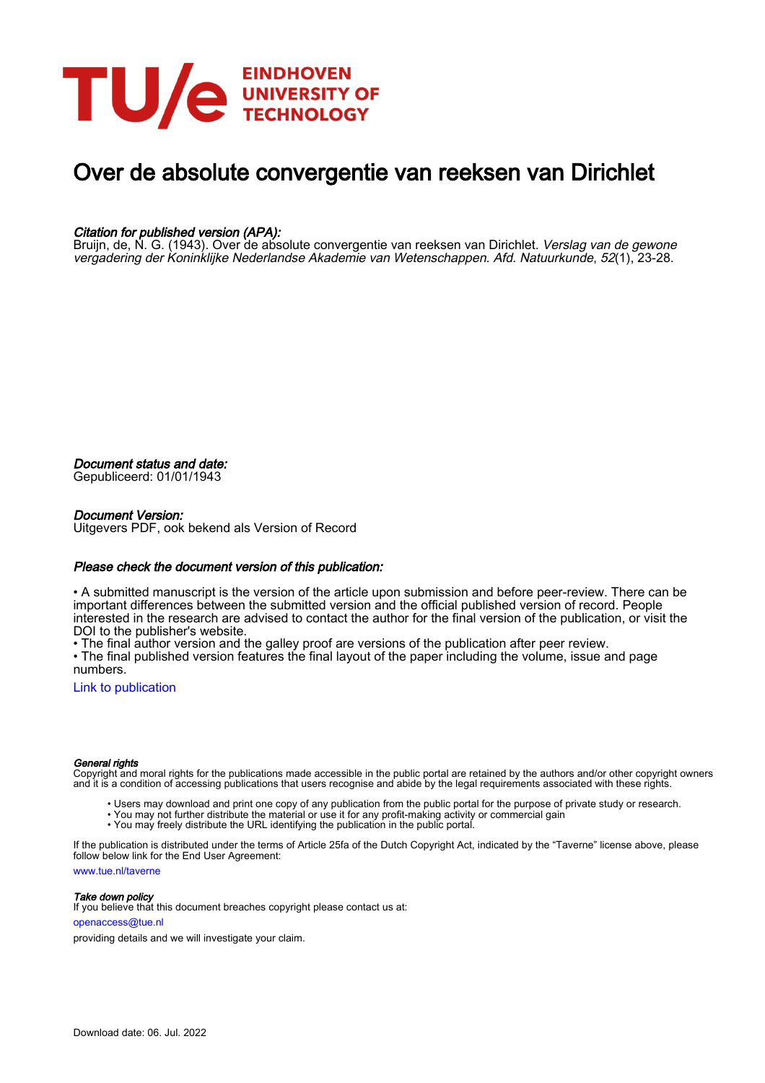

# Over de absolute convergentie van reeksen van Dirichlet

# Citation for published version (APA):

Bruijn, de, N. G. (1943). Over de absolute convergentie van reeksen van Dirichlet. *Verslag van de gewone* vergadering der Koninklijke Nederlandse Akademie van Wetenschappen. Afd. Natuurkunde, 52(1), 23-28.

Document status and date:

Gepubliceerd: 01/01/1943

# Document Version:

Uitgevers PDF, ook bekend als Version of Record

# Please check the document version of this publication:

• A submitted manuscript is the version of the article upon submission and before peer-review. There can be important differences between the submitted version and the official published version of record. People interested in the research are advised to contact the author for the final version of the publication, or visit the DOI to the publisher's website.

• The final author version and the galley proof are versions of the publication after peer review.

• The final published version features the final layout of the paper including the volume, issue and page numbers.

[Link to publication](https://research.tue.nl/nl/publications/9d18d39e-2043-4386-ad7c-30cb7f78e09f)

## General rights

Copyright and moral rights for the publications made accessible in the public portal are retained by the authors and/or other copyright owners and it is a condition of accessing publications that users recognise and abide by the legal requirements associated with these rights.

- Users may download and print one copy of any publication from the public portal for the purpose of private study or research.
- You may not further distribute the material or use it for any profit-making activity or commercial gain
- You may freely distribute the URL identifying the publication in the public portal.

If the publication is distributed under the terms of Article 25fa of the Dutch Copyright Act, indicated by the "Taverne" license above, please follow below link for the End User Agreement:

www.tue.nl/taverne

**Take down policy**<br>If you believe that this document breaches copyright please contact us at:

openaccess@tue.nl

providing details and we will investigate your claim.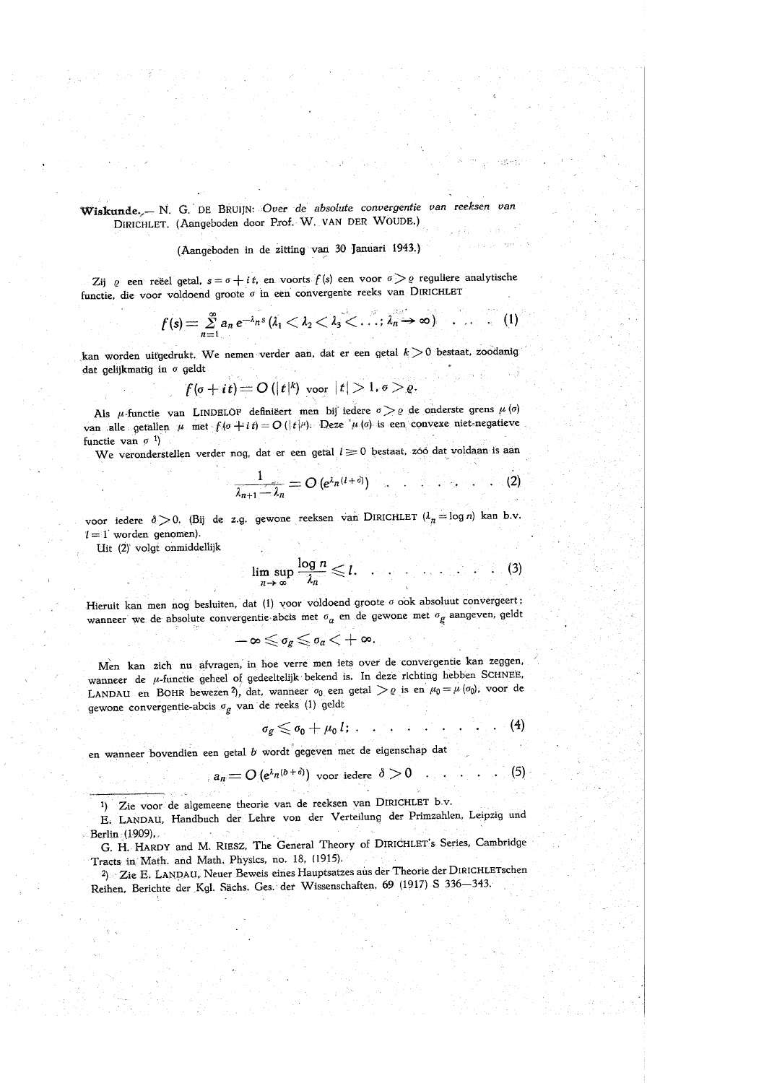# Wiskunde,- N. G. DE BRUIJN: Over de absolute convergentie van reeksen van DIRICHLET. (Aangeboden door Prof. W. VAN DER WOUDE.)

## (Aangeboden in de zitting van 30 Januari 1943.)

Zij  $\varrho$  een reëel getal,  $s = \sigma + i t$ , en voorts  $f(s)$  een voor  $\sigma > \varrho$  reguliere analytische functie, die voor voldoend groote o in een convergente reeks van DIRICHLET

$$
f(s) = \sum_{n=1}^{\infty} a_n e^{-\lambda_n s} \left( \lambda_1 < \lambda_2 < \lambda_3 < \ldots < \lambda_n \rightarrow \infty \right) \quad \ldots \quad (1)
$$

kan worden uitgedrukt. We nemen verder aan, dat er een getal  $k > 0$  bestaat, zoodanig dat gelijkmatig in  $\sigma$  geldt

$$
f(\sigma+i\,t)=O\left(|t|^k\right)\,\mathrm{voor}\,\left|t\right|>1,\sigma>\varrho.
$$

Als  $\mu$ -functie van LINDELOF definiëert men bij iedere  $\sigma > \varrho$  de onderste grens  $\mu(\sigma)$ van alle getallen  $\mu$  met  $f(\sigma + i t) = O(|t|^{\mu})$ . Deze  $\mu(\sigma)$  is een convexe niet-negatieve functie van  $\sigma$ <sup>1</sup>)

We veronderstellen verder nog, dat er een getal  $l \geq 0$  bestaat, zóó dat voldaan is aan

$$
\frac{1}{\lambda_{n+1}-\lambda_n}=O\left(e^{\lambda_n(1+\delta)}\right)\qquad (2)
$$

voor iedere  $\delta > 0$ . (Bij de z.g. gewone reeksen van DIRICHLET  $(\lambda_n = \log n)$  kan b.v.  $l = 1$  worden genomen).

Uit (2) volgt onmiddellijk

$$
\limsup_{n\to\infty}\frac{\log n}{\lambda_n}\leq l.\tag{3}
$$

Hieruit kan men nog besluiten, dat (1) voor voldoend groote  $\sigma$  ook absoluut convergeert; wanneer we de absolute convergentie abcis met  $\sigma_a$  en de gewone met  $\sigma_g$  aangeven, geldt

$$
-\boldsymbol{\infty}\!\leqslant\!\sigma_g\!\leqslant\!\sigma_a\!<\!+\boldsymbol{\infty}.
$$

Men kan zich nu afvragen, in hoe verre men iets over de convergentie kan zeggen, wanneer de u-functie geheel of gedeeltelijk bekend is. In deze richting hebben SCHNEE, LANDAU en BOHR bewezen 2), dat, wanneer  $\sigma_0$  een getal  $\geq \varrho$  is en  $\mu_0 = \mu(\sigma_0)$ ; voor de gewone convergentie-abcis $\sigma_g$ van de reeks (1) geldt

$$
s_g \leq \sigma_0 + \mu_0 l; \qquad \ldots \qquad (4)
$$

en wanneer bovendien een getal b wordt gegeven met de eigenschap dat

$$
a_n = O(e^{\lambda_n(b+\delta)}) \text{ voor iedere } \delta > 0 \dots \dots \tag{5}
$$

1) Zie voor de algemeene theorie van de reeksen van DIRICHLET b.v.

E. LANDAU, Handbuch der Lehre von der Verteilung der Primzahlen, Leipzig und Berlin (1909),

G. H. HARDY and M. RIESZ, The General Theory of DIRICHLET's Series, Cambridge Tracts in Math. and Math. Physics, no. 18, (1915).

<sup>2</sup>) Zie E. LANDAU. Neuer Beweis eines Hauptsatzes aus der Theorie der DIRICHLETschen Reihen, Berichte der Kgl. Sächs. Ges. der Wissenschaften, 69 (1917) S 336-343.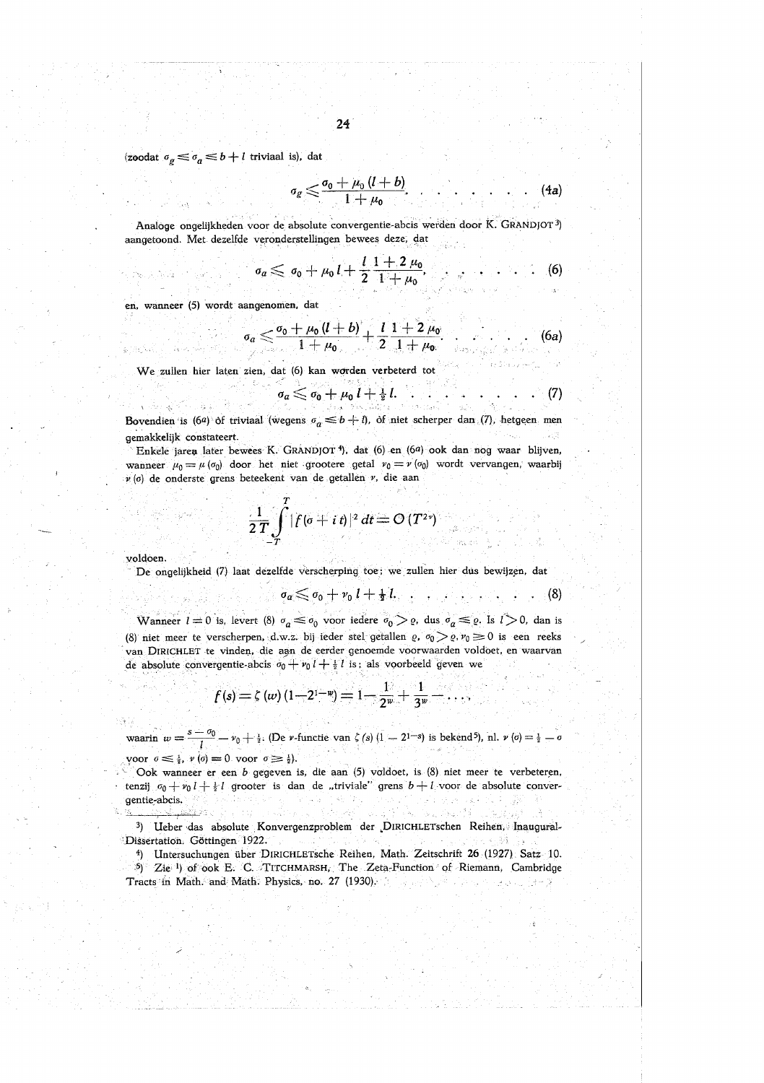(zoodat $\sigma_g \leqslant \sigma_a \leqslant b+l$ triviaal is), dat

$$
\sigma_g \leq \frac{\sigma_0 + \mu_0 (l+b)}{1+\mu_0} \qquad \qquad (4a)
$$

Analoge ongelijkheden voor de absolute convergentie-abcis werden door K. GRANDJOT<sup>3</sup>) aangetoond. Met dezelfde veronderstellingen bewees deze, dat

$$
a \leq \sigma_0 + \mu_0 L + \frac{l}{2} \frac{1+2 \mu_0}{1+\mu_0}, \qquad (6)
$$

en, wanneer (5) wordt aangenomen, dat

Anderson Constantinople

$$
\sigma_a \leq \frac{\sigma_0 + \mu_0 (l+b)}{1+\mu_0} + \frac{l}{2} \frac{1+2 \mu_0}{1+\mu_0} \qquad \qquad (6a)
$$

We zullen hier laten zien, dat (6) kan worden verbeterd tot

$$
\sigma_a \leqslant \sigma_0 + \mu_0 l + \tfrac{1}{2} l \qquad \qquad \ldots \qquad \qquad (7)
$$

Bovendien is (6a) of triviaal (wegens  $\sigma_a \leq b+1$ ), of niet scherper dan (7), hetgeen men gemakkelijk constateert. u kut

Enkele jaren later bewees K. GRANDJOT<sup>4</sup>), dat (6) en (6a) ook dan nog waar blijven, wanneer  $\mu_0 = \mu(\sigma_0)$  door het niet grootere getal  $\nu_0 = \nu(\sigma_0)$  wordt vervangen, waarbij  $\nu$  (o) de onderste grens beteekent van de getallen  $\nu$ , die aan

$$
\frac{1}{2T}\int\limits_{-T}^{T}|f(\sigma+i\,t)|^2\,dt=\mathcal{O}\left(T^{2\gamma}\right)
$$

voldoen.

a, Tole Rich

De ongelijkheid (7) laat dezelfde verscherping toe; we zullen hier dus bewijzen, dat

$$
\sigma_a \leq \sigma_0 + \nu_0 \, l + \tfrac{1}{2} \, l, \qquad (8)
$$

Wanneer  $l=0$  is, levert (8)  $\sigma_a \leq \sigma_0$  voor iedere  $\sigma_0 > \varrho$ , dus  $\sigma_a \leq \varrho$ . Is  $l > 0$ , dan is (8) niet meer te verscherpen, d.w.z. bij ieder stel getallen  $\varrho$ ,  $\sigma_0 > \varrho$ ,  $\nu_0 \ge 0$  is een reeks van DIRICHLET te vinden, die aan de eerder genoemde voorwaarden voldoet, en waarvan de absolute convergentie-abcis  $\sigma_0 + v_0 I + \frac{1}{2} I$  is: als voorbeeld geven we

$$
f(s) = \zeta(w) (1 - 2^{1-w}) = 1 - \frac{1}{2^w} + \frac{1}{3^w}
$$

waarin  $w = \frac{s - \sigma_0}{l} - \nu_0 + \frac{1}{2}$ . (De *v*-functie van  $\zeta(s)$   $(1 - 2^{1-s})$  is bekend<sup>5</sup>), nl.  $\nu(\sigma) = \frac{1}{2} - \sigma$ 

yoor  $\sigma \leq \frac{1}{2}$ ,  $\nu(\sigma) = 0$  voor  $\sigma \geq \frac{1}{2}$ .

Ook wanneer er een b gegeven is, die aan (5) voldoet, is (8) niet meer te verbeteren, tenzij  $\sigma_0 + \nu_0 l + \frac{1}{2} l$  grooter is dan de "triviale" grens  $b + l$  voor de absolute convergentie-abcis.

3) Ueber das absolute Konvergenzproblem der DIRICHLETschen Reihen, Inaugural-Dissertation. Göttingen 1922. 法工编 (75)

<sup>4</sup>) Untersuchungen über DIRICHLETsche Reihen, Math. Zeitschrift 26 (1927) Satz 10. 5) Zie 1) of ook E. C. TITCHMARSH, The Zeta-Function of Riemann, Cambridge Tracts in Math. and Math. Physics, no. 27 (1930). أباين يونا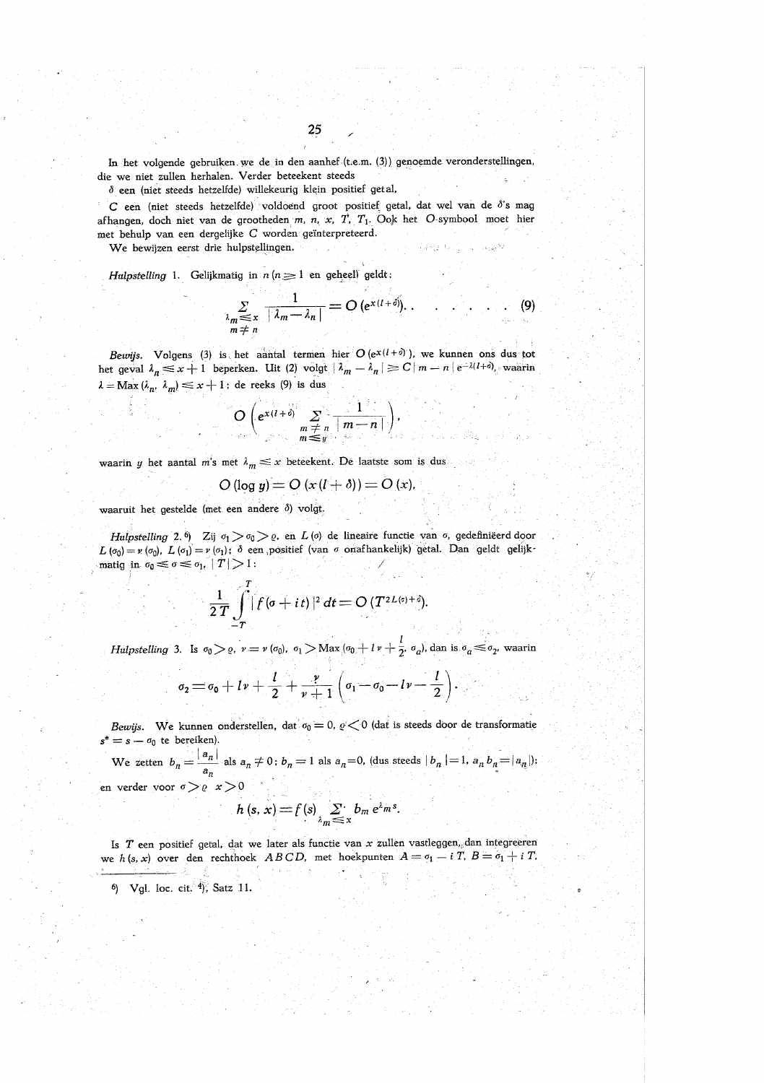In het volgende gebruiken we de in den aanhef (t.e.m. (3)) genoemde veronderstellingen, die we niet zullen herhalen. Verder beteekent steeds

 $\delta$  een (niet steeds hetzelfde) willekeurig klein positief getal,

C een (niet steeds hetzelfde) voldoend groot positief getal, dat wel van de d's mag afhangen, doch niet van de grootheden m, n, x, T, T<sub>1</sub>. Ook het O-symbool moet hier met behulp van een dergelijke C worden geïnterpreteerd.

We bewijzen eerst drie hulpstellingen.

Hulpstelling 1. Gelijkmatig in  $n (n \geq 1)$  en geheel) geldt:

$$
\sum_{\substack{\lambda_m \leq x \\ m \neq n}} \frac{1}{|\lambda_m - \lambda_n|} = O\left(e^{x(l+\delta)}\right). \qquad \qquad (9)
$$

Bewijs. Volgens (3) is het aantal termen hier  $O(e^{x(1+\delta)})$ , we kunnen ons dus tot het geval  $\lambda_n \leq x+1$  beperken. Uit (2) volgt  $|\lambda_m - \lambda_n| \geq C |m-n| e^{-\lambda (1+\delta)}$ , waarin  $\lambda = \text{Max}(\lambda_n, \lambda_m) \leq x + 1$ ; de reeks (9) is dus

$$
O\left(e^{x(l+\delta)}\sum_{\substack{m \neq n \\ m \leq y}}\frac{1}{|m-n|}\right)
$$

waarin y het aantal m's met  $\lambda_m \leq x$  beteekent. De laatste som is dus

$$
O(\log y) = O\left(x\left(t+\delta\right)\right) = O\left(x\right).
$$

waaruit het gestelde (met een andere  $\delta$ ) volgt.

Hulpstelling 2.6) Zij  $\sigma_1 > \sigma_0 > 0$ , en L(o) de lineaire functie van  $\sigma$ , gedefiniëerd door  $L(\sigma_0) = \nu(\sigma_0)$ ,  $L(\sigma_1) = \nu(\sigma_1)$ ;  $\delta$  een positief (van  $\sigma$  onafhankelijk) getal. Dan geldt gelijkmatiq in  $\sigma_0 \leq \sigma \leq \sigma_1$ ,  $|T| > 1$ :

$$
\frac{1}{2T}\int\limits_{-T}^{T}\left|f(\sigma+it)\right|^{2}dt=O(T^{2L(\sigma)+\delta}).
$$

*Hulpstelling* 3. Is  $\sigma_0 > \varrho$ ,  $v = v(\sigma_0)$ ,  $\sigma_1 > \text{Max}(\sigma_0 + l v + \frac{l}{2}, \sigma_a)$ , dan is  $\sigma_a \leq \sigma_2$ , waarin

$$
\sigma_2 = \sigma_0 + l\nu + \frac{l}{2} + \frac{\nu}{\nu+1}\left(\sigma_1 - \sigma_0 - l\nu - \frac{l}{2}\right)
$$

Bewijs. We kunnen onderstellen, dat  $\sigma_0 = 0$ ,  $c < 0$  (dat is steeds door de transformatie  $s^* = s - \sigma_0$  te bereiken).

We zetten  $b_n = \frac{|a_n|}{a_n}$  als  $a_n \neq 0$ ;  $b_n = 1$  als  $a_n = 0$ , (dus steeds  $|b_n| = 1$ ,  $a_n b_n = |a_n|$ ); en verder voor  $\sigma > 0$   $x > 0$ 

$$
h(s, x) = f(s) \sum_{\substack{n \leq x}} b_m e^{\lambda_m s}.
$$

Is  $T$  een positief getal, dat we later als functie van  $x$  zullen vastleggen, dan integreeren we h(s, x) over den rechthoek ABCD, met hoekpunten  $A = \sigma_1 - iT$ ,  $B = \sigma_1 + iT$ ,

6) Vgl. loc. cit. 4), Satz 11.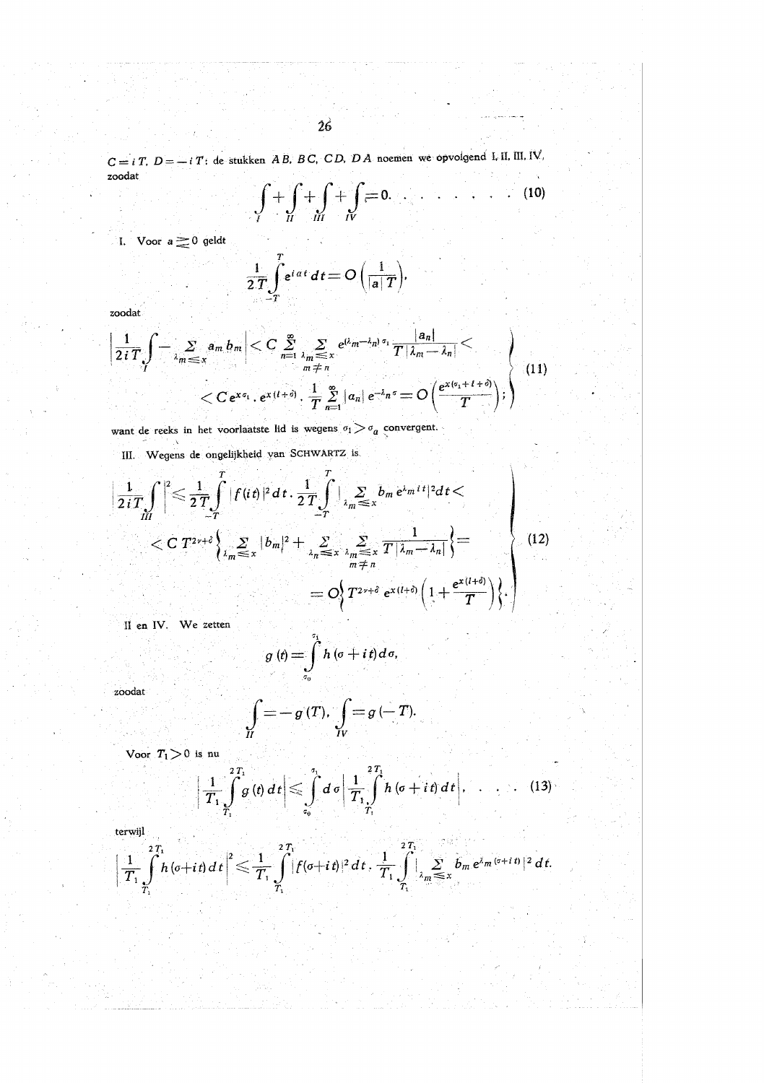$C = i T$ ,  $D = -i T$ ; de stukken AB, BC, CD, DA noemen we opvolgend I, II, III, IV, zoodat

$$
\int_{I} + \int_{II} + \int_{III} + \int_{IV} = 0. \qquad \qquad (10)
$$

I. Voor  $a \ge 0$  geldt

$$
\frac{1}{2T}\int\limits_{-T}^{T}e^{i\,at}\,dt=O\left(\frac{1}{|a|T}\right).
$$

zoodat

$$
\left|\frac{1}{2iT}\int_{-\lambda_m\leq x}^{\infty}a_m b_m\right| < C \sum_{n=1}^{\infty}\sum_{\substack{\lambda_m\leq x\\n\neq n}}e^{(\lambda_m-\lambda_n)\sigma_1}\frac{|a_n|}{T|\lambda_m-\lambda_n|} \n< C e^{x\sigma_1} \cdot e^{x(l+\delta)} \cdot \frac{1}{T}\sum_{n=1}^{\infty}|a_n|e^{-\lambda_n\sigma} = O\left(\frac{e^{x(\sigma_1+l+\delta)}}{T}\right);
$$
\n(11)

want de reeks in het voorlaatste lid is wegens  $\sigma_{\rm l} > \sigma_a$  convergent.

III. Wegens de ongelijkheid van SCHWARTZ is.

й

$$
\frac{1}{2iT} \int_{III} \left| \int_{-\frac{T}{T}}^{\frac{T}{2}} |f(it)|^2 dt \cdot \frac{1}{2T} \int_{-\frac{T}{T}} \left| \sum_{\lambda_m \leq x} b_m e^{\lambda_m t} \right|^2 dt \right|
$$
  
< 
$$
< C T^{2\gamma+\delta} \left\{ \sum_{\lambda_m \leq x} |b_m|^2 + \sum_{\lambda_m \leq x} \sum_{\lambda_m \leq x} \frac{1}{T |\lambda_m - \lambda_n|} \right\} =
$$
  

$$
= O \left\{ T^{2\gamma+\delta} e^{x(l+\delta)} \left( 1 + \frac{e^{x(l+\delta)}}{T} \right) \right\}.
$$
 (12)

II en IV. We zetten

$$
g(t) = \int\limits_{\sigma_0}^{\sigma} h(\sigma + i t) d\sigma,
$$

zoodat

$$
\bigg[=-g(T),\int\limits_{IV}=g(-T).
$$

Voor  $T_1 > 0$  is nu

$$
\left|\frac{1}{T_1}\int\limits_{\tau_1}^{2T_1} g\left(t\right) dt\right| \leqslant \int\limits_{\tau_0}^{\tau_1} d\left|\frac{1}{T_1}\int\limits_{T_1}^{2T_1} h\left(\sigma+i\,t\right) dt\right|, \quad \ldots \quad \qquad (13)
$$

terwijl

$$
\left|\frac{1}{T_1}\int\limits_{T_1}^{2T_1}h(\sigma+it)\,dt\right|^2\leqslant\frac{1}{T_1}\int\limits_{T_1}^{2T_1}[f(\sigma+it)|^2\,dt\,,\,\frac{1}{T_1}\int\limits_{T_1}^{2T_1}|\sum_{\lambda_m\leq x}\bar{b}_m\,e^{\lambda_m(\sigma+it)}|^2\,dt.
$$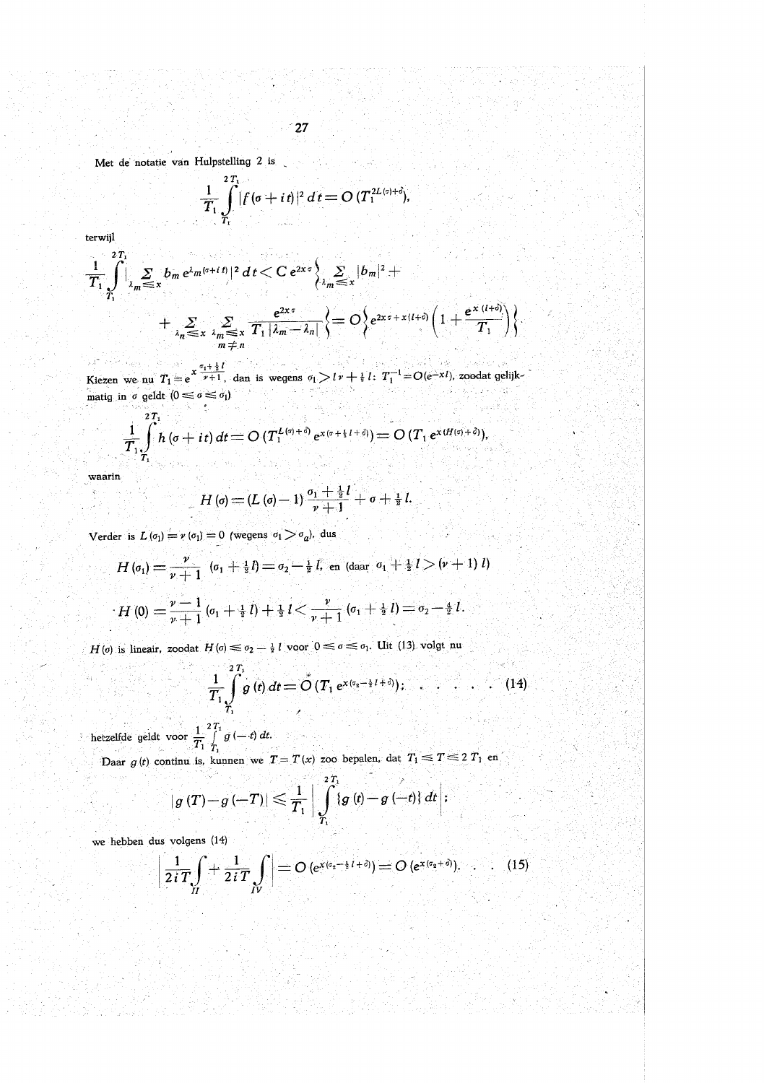Met de notatie van Hulpstelling 2 is

لتدام

$$
\frac{1}{T_1}\int\limits_{T_1}^{T_1} |f(\sigma+i\,t)|^2\,dt = O\,(T_1^{2L(\sigma)+\delta}),
$$

terwijl

 $\sim$ 

$$
\frac{1}{T_1} \int_{\lambda_m}^{2T_1} \left| \sum_{\substack{\lambda_m \leq x \\ \lambda_m \leq x}} b_m e^{\lambda_m (s+t)} \right|^2 dt < C e^{2x\sigma} \left\{ \sum_{\lambda_m \leq x} |b_m|^2 + \sum_{\lambda_m \leq x} |b_m|^2 + \sum_{\substack{\lambda_m \leq x \\ \lambda_m \leq x}} \sum_{\substack{\lambda_m \leq x \\ \lambda_m \neq n}} \frac{e^{2x\sigma}}{T_1 |\lambda_m - \lambda_n|} \right\} = O\left\{ e^{2x\sigma + x(l+\delta)} \left( 1 + \frac{e^{x(l+\delta)}}{T_1} \right) \right\}.
$$

Kiezen we nu  $T_1 = e^{x \frac{\sigma_1 + \frac{1}{2}l}{\nu + 1}}$ , dan is wegens  $\sigma_1 > l \nu + \frac{1}{2}l$ :  $T_1^{-1} = O(e^{-x}l)$ , zoodat gelijkmatig in  $\sigma$  geldt  $(0 \le \sigma \le \sigma_1)$ 12년~ 참고 동시간 Read in Aug Þ, [Burkstong] s til لأرو de.

$$
\frac{1}{T_1}\int\limits_{T_1}^{2T_1}h\left(\sigma+it\right)dt=O\left(T_1^{L\left(\sigma\right)+\delta\right)}e^{x\left(\sigma+1+l+\delta\right)}=O\left(T_1\ e^{x\left(H\left(\sigma\right)+\delta\right)}\right),
$$

waarin  $\hat{S}^{\dagger}$ 

服务

والمعرفية والمرارير أراقي

14. Gels -90

$$
H\left(\mathbf{\sigma}\right)=\left(L\left(\mathbf{\sigma}\right)-1\right)\frac{\sigma_{1}+\frac{1}{2}l}{\nu+1}+\mathbf{\sigma}+\frac{1}{2}l.
$$

Verder is  $L(\sigma_1) = v(\sigma_1) = 0$  (wegens  $\sigma_1 > \sigma_a$ ), dus

$$
H (o_1) = \frac{\nu}{\nu + 1} (o_1 + \frac{1}{2}l) = o_2 - \frac{1}{2}l, \text{ en (daar } o_1 + \frac{1}{2}l > (\nu + 1)l)
$$
  

$$
H (0) = \frac{\nu - 1}{\nu + 1} (o_1 + \frac{1}{2}l) + \frac{1}{2}l < \frac{\nu}{\nu + 1} (o_1 + \frac{1}{2}l) = o_2 - \frac{1}{2}l.
$$

 $H(\sigma)$  is lineair, zoodat  $H(\sigma) \leq \sigma_2 - \frac{1}{2} l$  voor  $0 \leq \sigma \leq \sigma_1$ . Uit (13) volgt nu

ing a shekara

a vit

 $\sim$ hetzelfde geldt voor  $\frac{1}{T_1} \int_{T_1}^{2T_1} g(-t) dt$ .

 $\hat{\sigma}_{1,2}$ 

Daar  $g(t)$  continu is, kunnen we  $T = T(x)$  zoo bepalen, dat  $T_1 \le T \le 2T_1$  en - 27

$$
\left|g\left(T\right)-g\left(-T\right)\right| \leqslant \frac{1}{T_{1}}\bigg|\int\limits_{T_{1}}^{2\,T_{1}}\left|g\left(t\right)-g\left(-t\right)\right|dt\bigg|.
$$

we hebben dus volgens (14)

$$
\left|\frac{1}{2iT}\int\limits_{II}+\frac{1}{2iT}\int\limits_{IV}\right|=O\left(e^{x(c_2-\frac{1}{2}I+\delta)}\right)=O\left(e^{x(c_2+\delta)}\right).
$$
 (15)